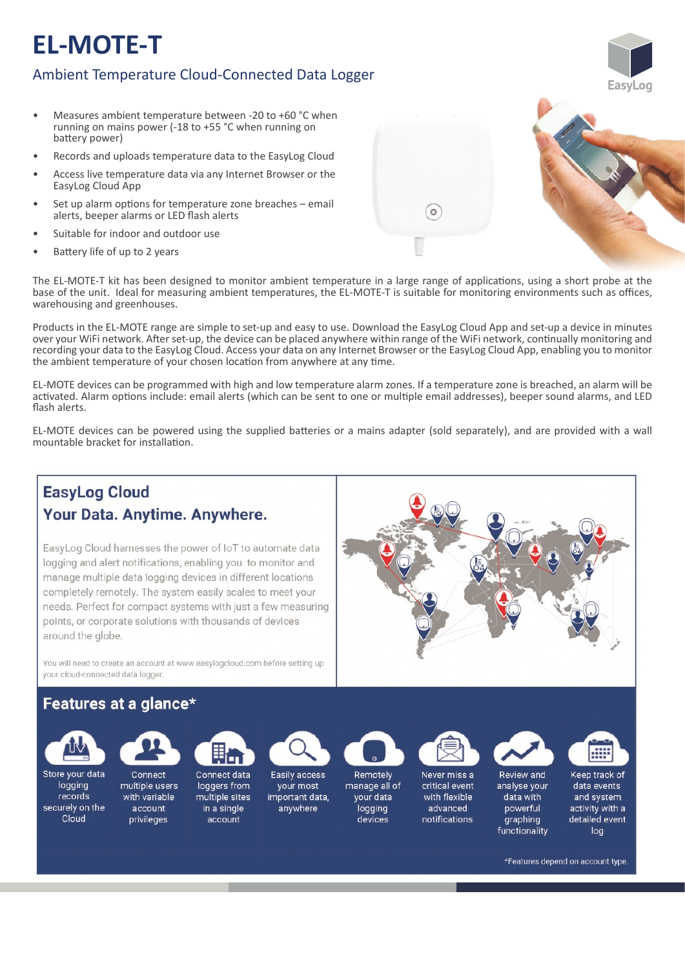# **EL-MOTE-T**

## Ambient Temperature Cloud-Connected Data Logger

- Measures ambient temperature between -20 to +60 °C when running on mains power (-18 to +55 °C when running on battery power)
- Records and uploads temperature data to the EasyLog Cloud
- Access live temperature data via any Internet Browser or the EasyLog Cloud App
- Set up alarm options for temperature zone breaches email alerts, beeper alarms or LED flash alerts
- Suitable for indoor and outdoor use
- Battery life of up to 2 years



 $\circ$ 

Products in the EL‐MOTE range are simple to set‐up and easy to use. Download the EasyLog Cloud App and set‐up a device in minutes over your WiFi network. After set-up, the device can be placed anywhere within range of the WiFi network, continually monitoring and recording your data to the EasyLog Cloud. Access your data on any Internet Browser or the EasyLog Cloud App, enabling you to monitor the ambient temperature of your chosen location from anywhere at any time.

EL‐MOTE devices can be programmed with high and low temperature alarm zones. If a temperature zone is breached, an alarm will be activated. Alarm options include: email alerts (which can be sent to one or multiple email addresses), beeper sound alarms, and LED flash alerts.

EL-MOTE devices can be powered using the supplied batteries or a mains adapter (sold separately), and are provided with a wall mountable bracket for installation.